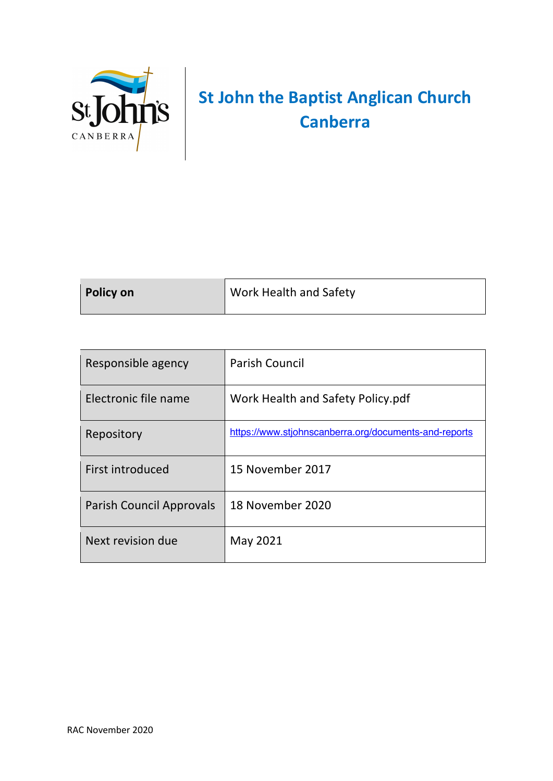

# **St John the Baptist Anglican Church Canberra**

| <b>Policy on</b> | Work Health and Safety |
|------------------|------------------------|
|                  |                        |

| Responsible agency       | <b>Parish Council</b>                                 |
|--------------------------|-------------------------------------------------------|
| Electronic file name     | Work Health and Safety Policy.pdf                     |
| Repository               | https://www.stjohnscanberra.org/documents-and-reports |
| First introduced         | 15 November 2017                                      |
| Parish Council Approvals | 18 November 2020                                      |
| Next revision due        | May 2021                                              |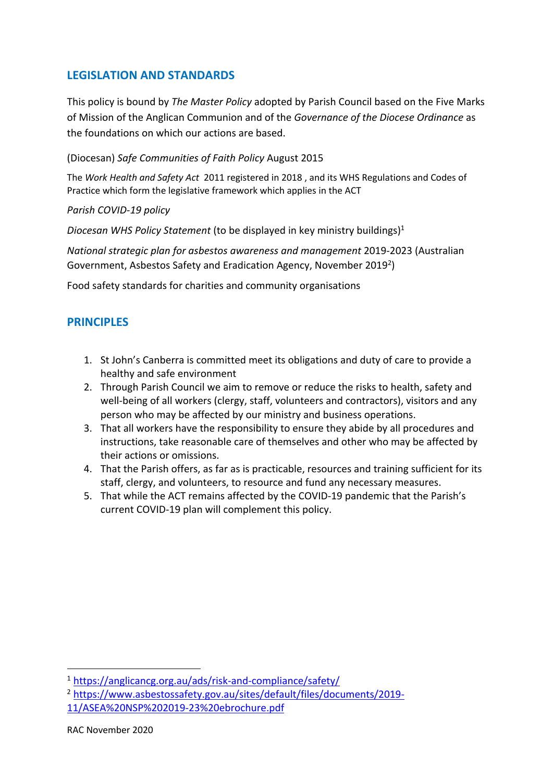## **LEGISLATION AND STANDARDS**

This policy is bound by *The Master Policy* adopted by Parish Council based on the Five Marks of Mission of the Anglican Communion and of the *Governance of the Diocese Ordinance* as the foundations on which our actions are based.

#### (Diocesan) *Safe Communities of Faith Policy* August 2015

The *Work Health and Safety Act* 2011 registered in 2018 , and its WHS Regulations and Codes of Practice which form the legislative framework which applies in the ACT

#### *Parish COVID-19 policy*

*Diocesan WHS Policy Statement* (to be displayed in key ministry buildings)1

*National strategic plan for asbestos awareness and management* 2019-2023 (Australian Government, Asbestos Safety and Eradication Agency, November 2019<sup>2</sup>)

Food safety standards for charities and community organisations

## **PRINCIPLES**

- 1. St John's Canberra is committed meet its obligations and duty of care to provide a healthy and safe environment
- 2. Through Parish Council we aim to remove or reduce the risks to health, safety and well-being of all workers (clergy, staff, volunteers and contractors), visitors and any person who may be affected by our ministry and business operations.
- 3. That all workers have the responsibility to ensure they abide by all procedures and instructions, take reasonable care of themselves and other who may be affected by their actions or omissions.
- 4. That the Parish offers, as far as is practicable, resources and training sufficient for its staff, clergy, and volunteers, to resource and fund any necessary measures.
- 5. That while the ACT remains affected by the COVID-19 pandemic that the Parish's current COVID-19 plan will complement this policy.

<sup>1</sup> https://anglicancg.org.au/ads/risk-and-compliance/safety/

<sup>2</sup> https://www.asbestossafety.gov.au/sites/default/files/documents/2019- 11/ASEA%20NSP%202019-23%20ebrochure.pdf